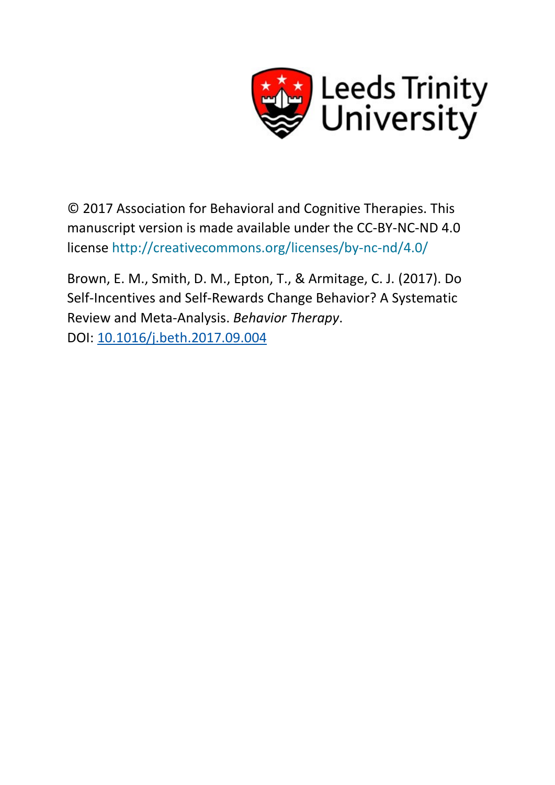

© 2017 Association for Behavioral and Cognitive Therapies. This manuscript version is made available under the CC-BY-NC-ND 4.0 license <http://creativecommons.org/licenses/by-nc-nd/4.0/>

Brown, E. M., Smith, D. M., Epton, T., & Armitage, C. J. (2017). Do Self-Incentives and Self-Rewards Change Behavior? A Systematic Review and Meta-Analysis. *Behavior Therapy*. DOI: [10.1016/j.beth.2017.09.004](http://dx.doi.org/10.1016/j.beth.2017.09.004)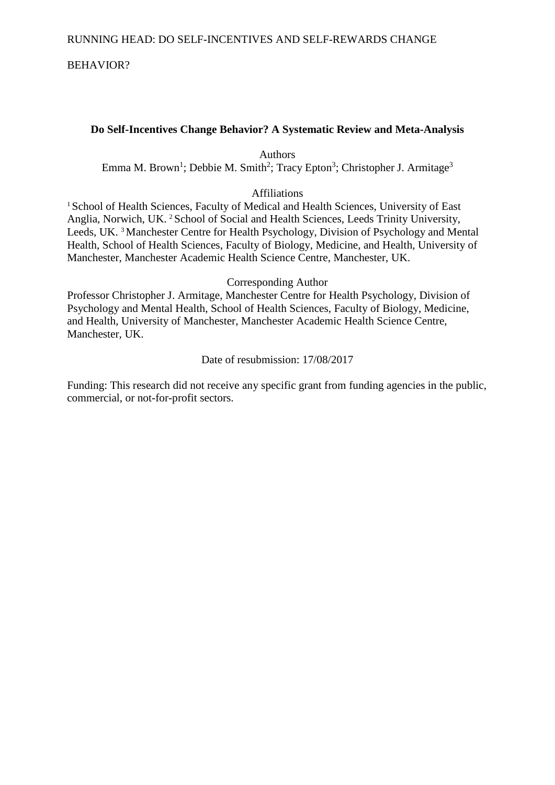# BEHAVIOR?

# **Do Self-Incentives Change Behavior? A Systematic Review and Meta-Analysis**

Authors

Emma M. Brown<sup>1</sup>; Debbie M. Smith<sup>2</sup>; Tracy Epton<sup>3</sup>; Christopher J. Armitage<sup>3</sup>

# Affiliations

<sup>1</sup> School of Health Sciences, Faculty of Medical and Health Sciences, University of East Anglia, Norwich, UK. 2 School of Social and Health Sciences, Leeds Trinity University, Leeds, UK. 3 Manchester Centre for Health Psychology, Division of Psychology and Mental Health, School of Health Sciences, Faculty of Biology, Medicine, and Health, University of Manchester, Manchester Academic Health Science Centre, Manchester, UK.

### Corresponding Author

Professor Christopher J. Armitage, Manchester Centre for Health Psychology, Division of Psychology and Mental Health, School of Health Sciences, Faculty of Biology, Medicine, and Health, University of Manchester, Manchester Academic Health Science Centre, Manchester, UK.

# Date of resubmission: 17/08/2017

Funding: This research did not receive any specific grant from funding agencies in the public, commercial, or not-for-profit sectors.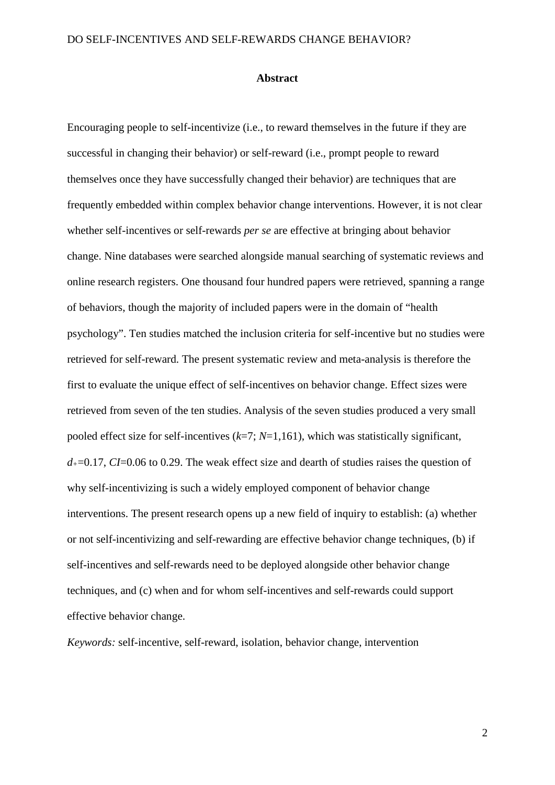#### **Abstract**

Encouraging people to self-incentivize (i.e., to reward themselves in the future if they are successful in changing their behavior) or self-reward (i.e., prompt people to reward themselves once they have successfully changed their behavior) are techniques that are frequently embedded within complex behavior change interventions. However, it is not clear whether self-incentives or self-rewards *per se* are effective at bringing about behavior change. Nine databases were searched alongside manual searching of systematic reviews and online research registers. One thousand four hundred papers were retrieved, spanning a range of behaviors, though the majority of included papers were in the domain of "health psychology". Ten studies matched the inclusion criteria for self-incentive but no studies were retrieved for self-reward. The present systematic review and meta-analysis is therefore the first to evaluate the unique effect of self-incentives on behavior change. Effect sizes were retrieved from seven of the ten studies. Analysis of the seven studies produced a very small pooled effect size for self-incentives (*k*=7; *N*=1,161), which was statistically significant, *d+*=0.17, *CI*=0.06 to 0.29. The weak effect size and dearth of studies raises the question of why self-incentivizing is such a widely employed component of behavior change interventions. The present research opens up a new field of inquiry to establish: (a) whether or not self-incentivizing and self-rewarding are effective behavior change techniques, (b) if self-incentives and self-rewards need to be deployed alongside other behavior change techniques, and (c) when and for whom self-incentives and self-rewards could support effective behavior change.

*Keywords:* self-incentive, self-reward, isolation, behavior change, intervention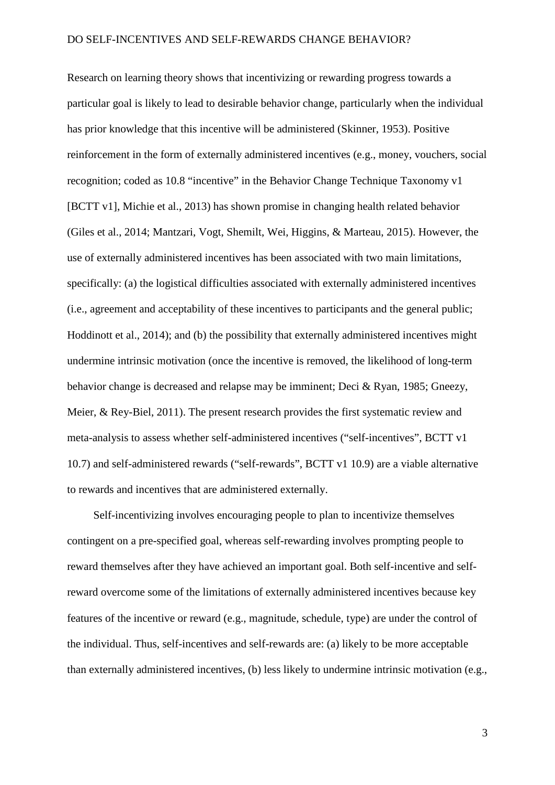Research on learning theory shows that incentivizing or rewarding progress towards a particular goal is likely to lead to desirable behavior change, particularly when the individual has prior knowledge that this incentive will be administered (Skinner, 1953). Positive reinforcement in the form of externally administered incentives (e.g., money, vouchers, social recognition; coded as 10.8 "incentive" in the Behavior Change Technique Taxonomy v1 [BCTT v1], Michie et al., 2013) has shown promise in changing health related behavior (Giles et al., 2014; Mantzari, Vogt, Shemilt, Wei, Higgins, & Marteau, 2015). However, the use of externally administered incentives has been associated with two main limitations, specifically: (a) the logistical difficulties associated with externally administered incentives (i.e., agreement and acceptability of these incentives to participants and the general public; Hoddinott et al., 2014); and (b) the possibility that externally administered incentives might undermine intrinsic motivation (once the incentive is removed, the likelihood of long-term behavior change is decreased and relapse may be imminent; Deci & Ryan, 1985; Gneezy, Meier, & Rey-Biel, 2011). The present research provides the first systematic review and meta-analysis to assess whether self-administered incentives ("self-incentives", BCTT v1 10.7) and self-administered rewards ("self-rewards", BCTT v1 10.9) are a viable alternative to rewards and incentives that are administered externally.

Self-incentivizing involves encouraging people to plan to incentivize themselves contingent on a pre-specified goal, whereas self-rewarding involves prompting people to reward themselves after they have achieved an important goal. Both self-incentive and selfreward overcome some of the limitations of externally administered incentives because key features of the incentive or reward (e.g., magnitude, schedule, type) are under the control of the individual. Thus, self-incentives and self-rewards are: (a) likely to be more acceptable than externally administered incentives, (b) less likely to undermine intrinsic motivation (e.g.,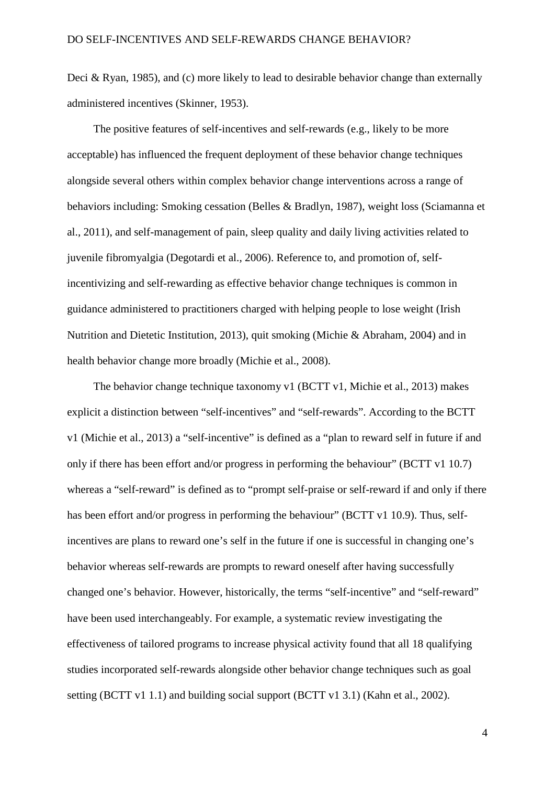Deci & Ryan, 1985), and (c) more likely to lead to desirable behavior change than externally administered incentives (Skinner, 1953).

The positive features of self-incentives and self-rewards (e.g., likely to be more acceptable) has influenced the frequent deployment of these behavior change techniques alongside several others within complex behavior change interventions across a range of behaviors including: Smoking cessation (Belles & Bradlyn, 1987), weight loss (Sciamanna et al., 2011), and self-management of pain, sleep quality and daily living activities related to juvenile fibromyalgia (Degotardi et al., 2006). Reference to, and promotion of, selfincentivizing and self-rewarding as effective behavior change techniques is common in guidance administered to practitioners charged with helping people to lose weight (Irish Nutrition and Dietetic Institution, 2013), quit smoking (Michie & Abraham, 2004) and in health behavior change more broadly (Michie et al., 2008).

The behavior change technique taxonomy v1 (BCTT v1, Michie et al., 2013) makes explicit a distinction between "self-incentives" and "self-rewards". According to the BCTT v1 (Michie et al., 2013) a "self-incentive" is defined as a "plan to reward self in future if and only if there has been effort and/or progress in performing the behaviour" (BCTT v1 10.7) whereas a "self-reward" is defined as to "prompt self-praise or self-reward if and only if there has been effort and/or progress in performing the behaviour" (BCTT v1 10.9). Thus, selfincentives are plans to reward one's self in the future if one is successful in changing one's behavior whereas self-rewards are prompts to reward oneself after having successfully changed one's behavior. However, historically, the terms "self-incentive" and "self-reward" have been used interchangeably. For example, a systematic review investigating the effectiveness of tailored programs to increase physical activity found that all 18 qualifying studies incorporated self-rewards alongside other behavior change techniques such as goal setting (BCTT v1 1.1) and building social support (BCTT v1 3.1) (Kahn et al., 2002).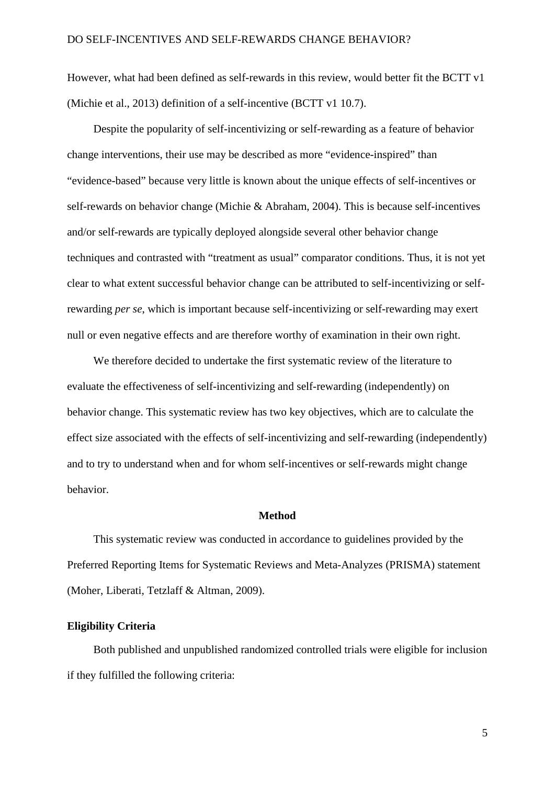However, what had been defined as self-rewards in this review, would better fit the BCTT v1 (Michie et al., 2013) definition of a self-incentive (BCTT v1 10.7).

Despite the popularity of self-incentivizing or self-rewarding as a feature of behavior change interventions, their use may be described as more "evidence-inspired" than "evidence-based" because very little is known about the unique effects of self-incentives or self-rewards on behavior change (Michie & Abraham, 2004). This is because self-incentives and/or self-rewards are typically deployed alongside several other behavior change techniques and contrasted with "treatment as usual" comparator conditions. Thus, it is not yet clear to what extent successful behavior change can be attributed to self-incentivizing or selfrewarding *per se*, which is important because self-incentivizing or self-rewarding may exert null or even negative effects and are therefore worthy of examination in their own right.

We therefore decided to undertake the first systematic review of the literature to evaluate the effectiveness of self-incentivizing and self-rewarding (independently) on behavior change. This systematic review has two key objectives, which are to calculate the effect size associated with the effects of self-incentivizing and self-rewarding (independently) and to try to understand when and for whom self-incentives or self-rewards might change behavior.

### **Method**

This systematic review was conducted in accordance to guidelines provided by the Preferred Reporting Items for Systematic Reviews and Meta-Analyzes (PRISMA) statement (Moher, Liberati, Tetzlaff & Altman, 2009).

### **Eligibility Criteria**

Both published and unpublished randomized controlled trials were eligible for inclusion if they fulfilled the following criteria: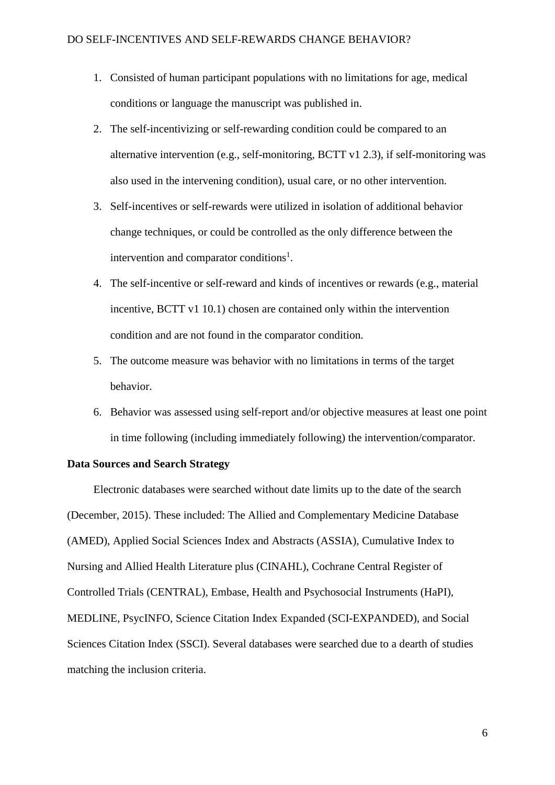- 1. Consisted of human participant populations with no limitations for age, medical conditions or language the manuscript was published in.
- 2. The self-incentivizing or self-rewarding condition could be compared to an alternative intervention (e.g., self-monitoring, BCTT v1 2.3), if self-monitoring was also used in the intervening condition), usual care, or no other intervention.
- 3. Self-incentives or self-rewards were utilized in isolation of additional behavior change techniques, or could be controlled as the only difference between the intervention and comparator conditions<sup>1</sup>.
- 4. The self-incentive or self-reward and kinds of incentives or rewards (e.g., material incentive, BCTT v1 10.1) chosen are contained only within the intervention condition and are not found in the comparator condition.
- 5. The outcome measure was behavior with no limitations in terms of the target behavior.
- 6. Behavior was assessed using self-report and/or objective measures at least one point in time following (including immediately following) the intervention/comparator.

# **Data Sources and Search Strategy**

Electronic databases were searched without date limits up to the date of the search (December, 2015). These included: The Allied and Complementary Medicine Database (AMED), Applied Social Sciences Index and Abstracts (ASSIA), Cumulative Index to Nursing and Allied Health Literature plus (CINAHL), Cochrane Central Register of Controlled Trials (CENTRAL), Embase, Health and Psychosocial Instruments (HaPI), MEDLINE, PsycINFO, Science Citation Index Expanded (SCI-EXPANDED), and Social Sciences Citation Index (SSCI). Several databases were searched due to a dearth of studies matching the inclusion criteria.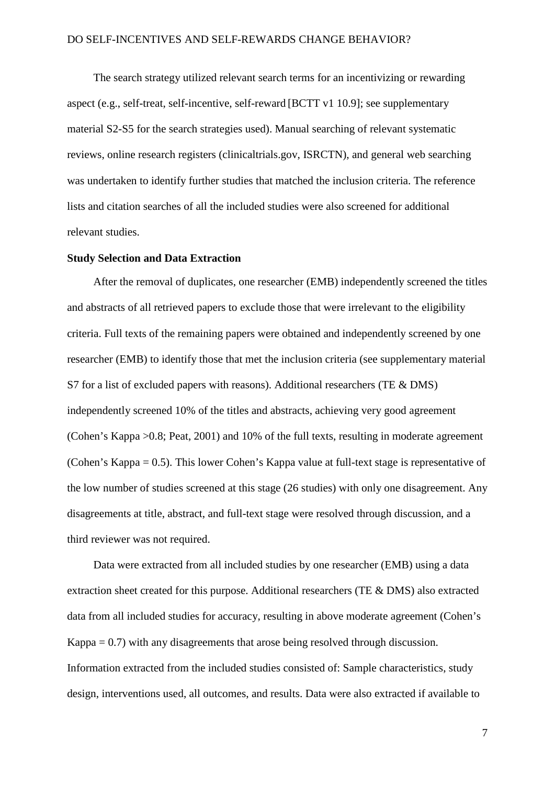The search strategy utilized relevant search terms for an incentivizing or rewarding aspect (e.g., self-treat, self-incentive, self-reward [BCTT v1 10.9]; see supplementary material S2-S5 for the search strategies used). Manual searching of relevant systematic reviews, online research registers (clinicaltrials.gov, ISRCTN), and general web searching was undertaken to identify further studies that matched the inclusion criteria. The reference lists and citation searches of all the included studies were also screened for additional relevant studies.

### **Study Selection and Data Extraction**

After the removal of duplicates, one researcher (EMB) independently screened the titles and abstracts of all retrieved papers to exclude those that were irrelevant to the eligibility criteria. Full texts of the remaining papers were obtained and independently screened by one researcher (EMB) to identify those that met the inclusion criteria (see supplementary material S7 for a list of excluded papers with reasons). Additional researchers (TE & DMS) independently screened 10% of the titles and abstracts, achieving very good agreement (Cohen's Kappa >0.8; Peat, 2001) and 10% of the full texts, resulting in moderate agreement (Cohen's Kappa = 0.5). This lower Cohen's Kappa value at full-text stage is representative of the low number of studies screened at this stage (26 studies) with only one disagreement. Any disagreements at title, abstract, and full-text stage were resolved through discussion, and a third reviewer was not required.

Data were extracted from all included studies by one researcher (EMB) using a data extraction sheet created for this purpose. Additional researchers (TE & DMS) also extracted data from all included studies for accuracy, resulting in above moderate agreement (Cohen's Kappa = 0.7) with any disagreements that arose being resolved through discussion. Information extracted from the included studies consisted of: Sample characteristics, study design, interventions used, all outcomes, and results. Data were also extracted if available to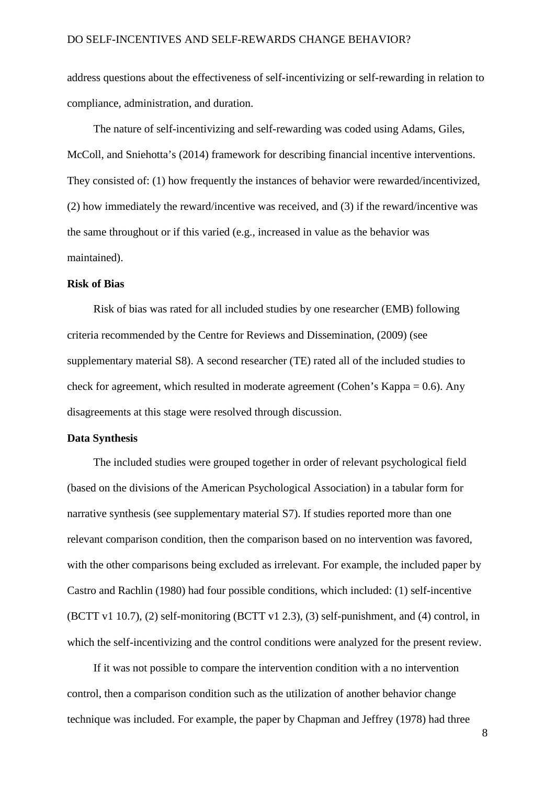address questions about the effectiveness of self-incentivizing or self-rewarding in relation to compliance, administration, and duration.

The nature of self-incentivizing and self-rewarding was coded using Adams, Giles, McColl, and Sniehotta's (2014) framework for describing financial incentive interventions. They consisted of: (1) how frequently the instances of behavior were rewarded/incentivized, (2) how immediately the reward/incentive was received, and (3) if the reward/incentive was the same throughout or if this varied (e.g., increased in value as the behavior was maintained).

### **Risk of Bias**

Risk of bias was rated for all included studies by one researcher (EMB) following criteria recommended by the Centre for Reviews and Dissemination, (2009) (see supplementary material S8). A second researcher (TE) rated all of the included studies to check for agreement, which resulted in moderate agreement (Cohen's Kappa = 0.6). Any disagreements at this stage were resolved through discussion.

#### **Data Synthesis**

The included studies were grouped together in order of relevant psychological field (based on the divisions of the American Psychological Association) in a tabular form for narrative synthesis (see supplementary material S7). If studies reported more than one relevant comparison condition, then the comparison based on no intervention was favored, with the other comparisons being excluded as irrelevant. For example, the included paper by Castro and Rachlin (1980) had four possible conditions, which included: (1) self-incentive (BCTT v1 10.7), (2) self-monitoring (BCTT v1 2.3), (3) self-punishment, and (4) control, in which the self-incentivizing and the control conditions were analyzed for the present review.

If it was not possible to compare the intervention condition with a no intervention control, then a comparison condition such as the utilization of another behavior change technique was included. For example, the paper by Chapman and Jeffrey (1978) had three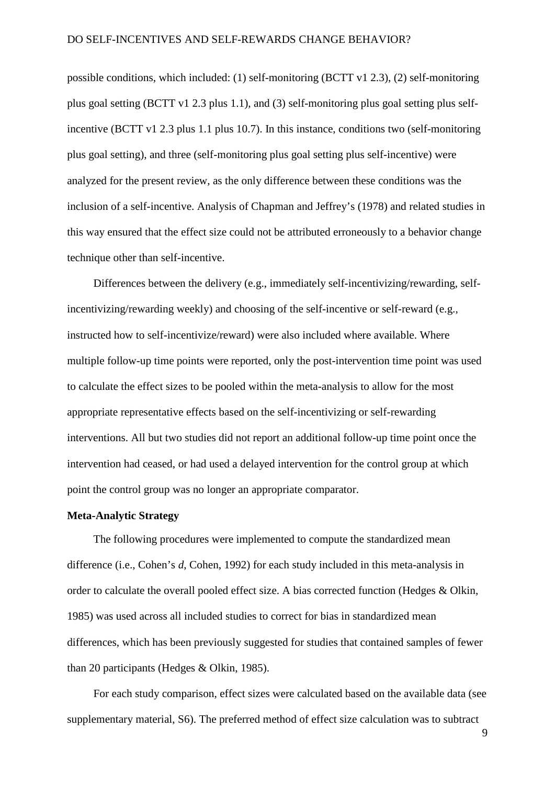possible conditions, which included: (1) self-monitoring (BCTT v1 2.3), (2) self-monitoring plus goal setting (BCTT v1 2.3 plus 1.1), and (3) self-monitoring plus goal setting plus selfincentive (BCTT v1 2.3 plus 1.1 plus 10.7). In this instance, conditions two (self-monitoring plus goal setting), and three (self-monitoring plus goal setting plus self-incentive) were analyzed for the present review, as the only difference between these conditions was the inclusion of a self-incentive. Analysis of Chapman and Jeffrey's (1978) and related studies in this way ensured that the effect size could not be attributed erroneously to a behavior change technique other than self-incentive.

Differences between the delivery (e.g., immediately self-incentivizing/rewarding, selfincentivizing/rewarding weekly) and choosing of the self-incentive or self-reward (e.g., instructed how to self-incentivize/reward) were also included where available. Where multiple follow-up time points were reported, only the post-intervention time point was used to calculate the effect sizes to be pooled within the meta-analysis to allow for the most appropriate representative effects based on the self-incentivizing or self-rewarding interventions. All but two studies did not report an additional follow-up time point once the intervention had ceased, or had used a delayed intervention for the control group at which point the control group was no longer an appropriate comparator.

### **Meta-Analytic Strategy**

The following procedures were implemented to compute the standardized mean difference (i.e., Cohen's *d*, Cohen, 1992) for each study included in this meta-analysis in order to calculate the overall pooled effect size. A bias corrected function (Hedges & Olkin, 1985) was used across all included studies to correct for bias in standardized mean differences, which has been previously suggested for studies that contained samples of fewer than 20 participants (Hedges & Olkin, 1985).

For each study comparison, effect sizes were calculated based on the available data (see supplementary material, S6). The preferred method of effect size calculation was to subtract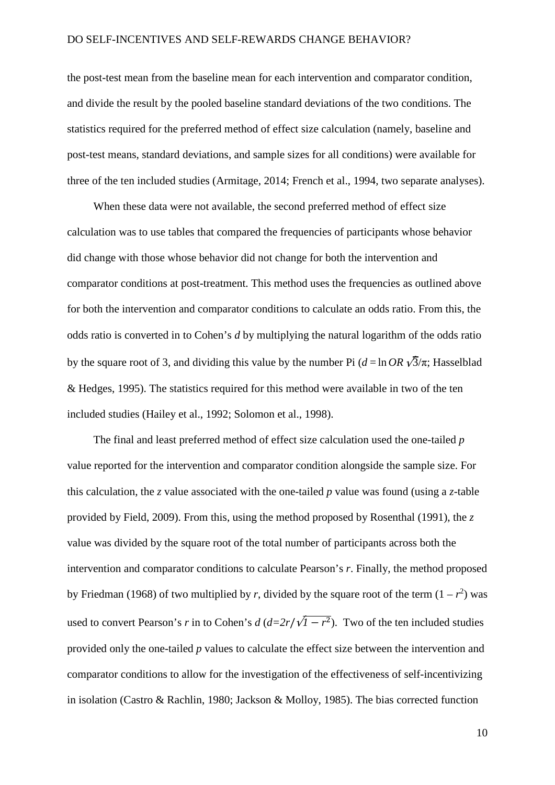the post-test mean from the baseline mean for each intervention and comparator condition, and divide the result by the pooled baseline standard deviations of the two conditions. The statistics required for the preferred method of effect size calculation (namely, baseline and post-test means, standard deviations, and sample sizes for all conditions) were available for three of the ten included studies (Armitage, 2014; French et al., 1994, two separate analyses).

When these data were not available, the second preferred method of effect size calculation was to use tables that compared the frequencies of participants whose behavior did change with those whose behavior did not change for both the intervention and comparator conditions at post-treatment. This method uses the frequencies as outlined above for both the intervention and comparator conditions to calculate an odds ratio. From this, the odds ratio is converted in to Cohen's *d* by multiplying the natural logarithm of the odds ratio by the square root of 3, and dividing this value by the number Pi  $(d = \ln QR \sqrt{3}/\pi$ ; Hasselblad & Hedges, 1995). The statistics required for this method were available in two of the ten included studies (Hailey et al., 1992; Solomon et al., 1998).

The final and least preferred method of effect size calculation used the one-tailed *p* value reported for the intervention and comparator condition alongside the sample size. For this calculation, the *z* value associated with the one-tailed *p* value was found (using a *z*-table provided by Field, 2009). From this, using the method proposed by Rosenthal (1991), the *z* value was divided by the square root of the total number of participants across both the intervention and comparator conditions to calculate Pearson's *r*. Finally, the method proposed by Friedman (1968) of two multiplied by *r*, divided by the square root of the term  $(1 - r^2)$  was used to convert Pearson's *r* in to Cohen's *d* ( $d=2r/\sqrt{1-r^2}$ ). Two of the ten included studies provided only the one-tailed *p* values to calculate the effect size between the intervention and comparator conditions to allow for the investigation of the effectiveness of self-incentivizing in isolation (Castro & Rachlin, 1980; Jackson & Molloy, 1985). The bias corrected function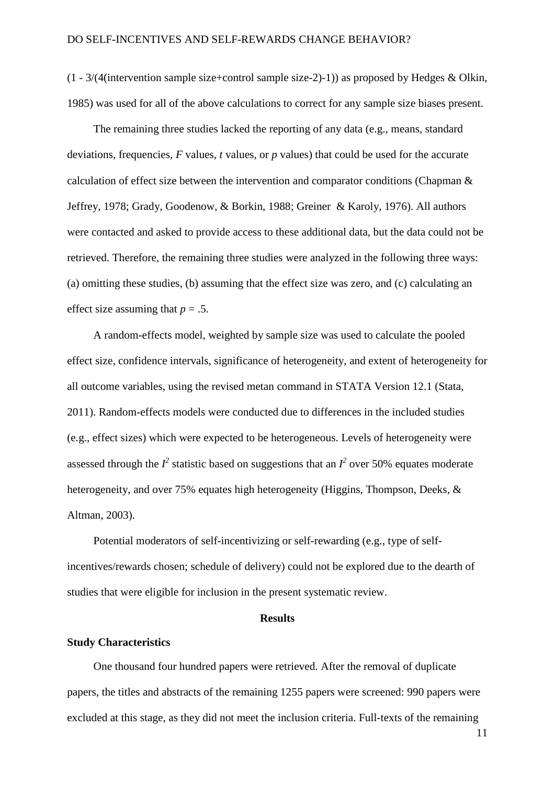(1 - 3/(4(intervention sample size+control sample size-2)-1)) as proposed by Hedges & Olkin, 1985) was used for all of the above calculations to correct for any sample size biases present.

The remaining three studies lacked the reporting of any data (e.g., means, standard deviations, frequencies, *F* values, *t* values, or *p* values) that could be used for the accurate calculation of effect size between the intervention and comparator conditions (Chapman & Jeffrey, 1978; Grady, Goodenow, & Borkin, 1988; Greiner & Karoly, 1976). All authors were contacted and asked to provide access to these additional data, but the data could not be retrieved. Therefore, the remaining three studies were analyzed in the following three ways: (a) omitting these studies, (b) assuming that the effect size was zero, and (c) calculating an effect size assuming that  $p = .5$ .

A random-effects model, weighted by sample size was used to calculate the pooled effect size, confidence intervals, significance of heterogeneity, and extent of heterogeneity for all outcome variables, using the revised metan command in STATA Version 12.1 (Stata, 2011). Random-effects models were conducted due to differences in the included studies (e.g., effect sizes) which were expected to be heterogeneous. Levels of heterogeneity were assessed through the  $I^2$  statistic based on suggestions that an  $I^2$  over 50% equates moderate heterogeneity, and over 75% equates high heterogeneity (Higgins, Thompson, Deeks, & Altman, 2003).

Potential moderators of self-incentivizing or self-rewarding (e.g., type of selfincentives/rewards chosen; schedule of delivery) could not be explored due to the dearth of studies that were eligible for inclusion in the present systematic review.

### **Results**

### **Study Characteristics**

One thousand four hundred papers were retrieved. After the removal of duplicate papers, the titles and abstracts of the remaining 1255 papers were screened: 990 papers were excluded at this stage, as they did not meet the inclusion criteria. Full-texts of the remaining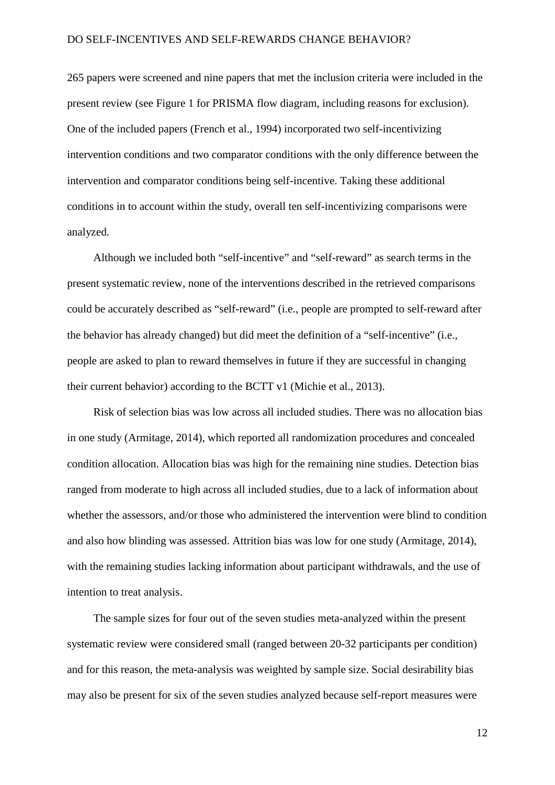265 papers were screened and nine papers that met the inclusion criteria were included in the present review (see Figure 1 for PRISMA flow diagram, including reasons for exclusion). One of the included papers (French et al., 1994) incorporated two self-incentivizing intervention conditions and two comparator conditions with the only difference between the intervention and comparator conditions being self-incentive. Taking these additional conditions in to account within the study, overall ten self-incentivizing comparisons were analyzed.

Although we included both "self-incentive" and "self-reward" as search terms in the present systematic review, none of the interventions described in the retrieved comparisons could be accurately described as "self-reward" (i.e., people are prompted to self-reward after the behavior has already changed) but did meet the definition of a "self-incentive" (i.e., people are asked to plan to reward themselves in future if they are successful in changing their current behavior) according to the BCTT v1 (Michie et al., 2013).

Risk of selection bias was low across all included studies. There was no allocation bias in one study (Armitage, 2014), which reported all randomization procedures and concealed condition allocation. Allocation bias was high for the remaining nine studies. Detection bias ranged from moderate to high across all included studies, due to a lack of information about whether the assessors, and/or those who administered the intervention were blind to condition and also how blinding was assessed. Attrition bias was low for one study (Armitage, 2014), with the remaining studies lacking information about participant withdrawals, and the use of intention to treat analysis.

The sample sizes for four out of the seven studies meta-analyzed within the present systematic review were considered small (ranged between 20-32 participants per condition) and for this reason, the meta-analysis was weighted by sample size. Social desirability bias may also be present for six of the seven studies analyzed because self-report measures were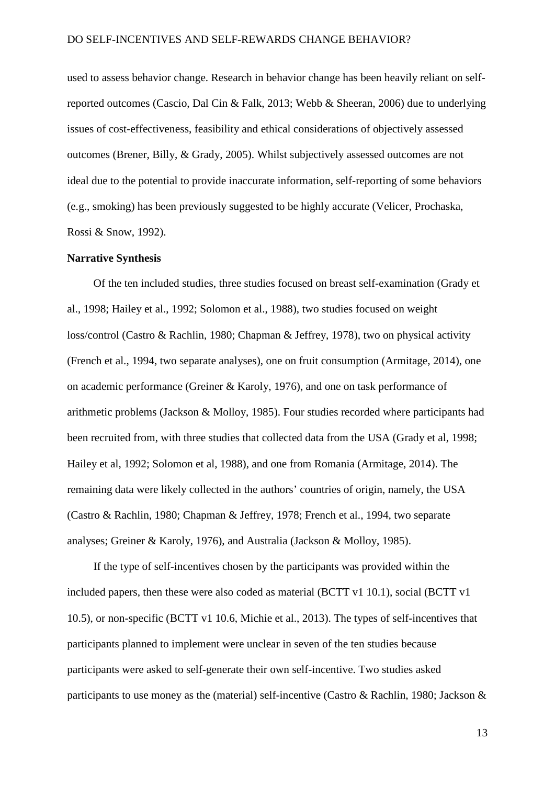used to assess behavior change. Research in behavior change has been heavily reliant on selfreported outcomes (Cascio, Dal Cin & Falk, 2013; Webb & Sheeran, 2006) due to underlying issues of cost-effectiveness, feasibility and ethical considerations of objectively assessed outcomes (Brener, Billy, & Grady, 2005). Whilst subjectively assessed outcomes are not ideal due to the potential to provide inaccurate information, self-reporting of some behaviors (e.g., smoking) has been previously suggested to be highly accurate (Velicer, Prochaska, Rossi & Snow, 1992).

#### **Narrative Synthesis**

Of the ten included studies, three studies focused on breast self-examination (Grady et al., 1998; Hailey et al., 1992; Solomon et al., 1988), two studies focused on weight loss/control (Castro & Rachlin, 1980; Chapman & Jeffrey, 1978), two on physical activity (French et al., 1994, two separate analyses), one on fruit consumption (Armitage, 2014), one on academic performance (Greiner & Karoly, 1976), and one on task performance of arithmetic problems (Jackson & Molloy, 1985). Four studies recorded where participants had been recruited from, with three studies that collected data from the USA (Grady et al, 1998; Hailey et al, 1992; Solomon et al, 1988), and one from Romania (Armitage, 2014). The remaining data were likely collected in the authors' countries of origin, namely, the USA (Castro & Rachlin, 1980; Chapman & Jeffrey, 1978; French et al., 1994, two separate analyses; Greiner & Karoly, 1976), and Australia (Jackson & Molloy, 1985).

If the type of self-incentives chosen by the participants was provided within the included papers, then these were also coded as material (BCTT v1 10.1), social (BCTT v1 10.5), or non-specific (BCTT v1 10.6, Michie et al., 2013). The types of self-incentives that participants planned to implement were unclear in seven of the ten studies because participants were asked to self-generate their own self-incentive. Two studies asked participants to use money as the (material) self-incentive (Castro & Rachlin, 1980; Jackson &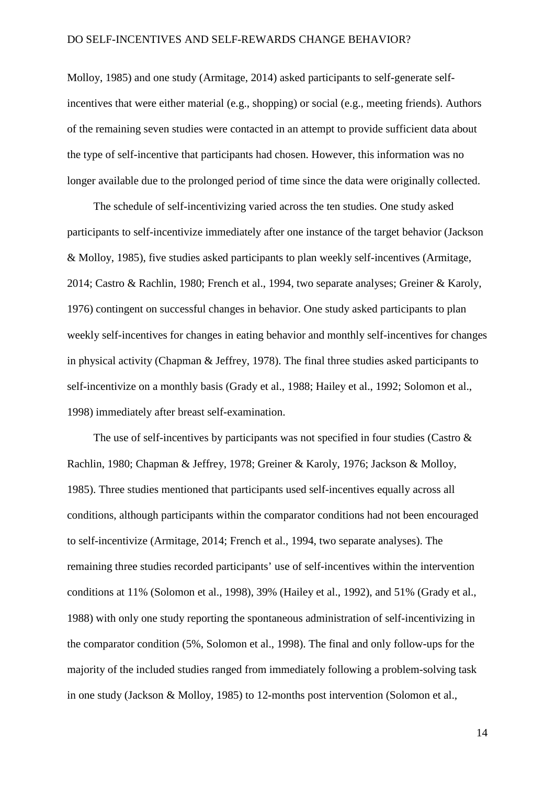Molloy, 1985) and one study (Armitage, 2014) asked participants to self-generate selfincentives that were either material (e.g., shopping) or social (e.g., meeting friends). Authors of the remaining seven studies were contacted in an attempt to provide sufficient data about the type of self-incentive that participants had chosen. However, this information was no longer available due to the prolonged period of time since the data were originally collected.

The schedule of self-incentivizing varied across the ten studies. One study asked participants to self-incentivize immediately after one instance of the target behavior (Jackson & Molloy, 1985), five studies asked participants to plan weekly self-incentives (Armitage, 2014; Castro & Rachlin, 1980; French et al., 1994, two separate analyses; Greiner & Karoly, 1976) contingent on successful changes in behavior. One study asked participants to plan weekly self-incentives for changes in eating behavior and monthly self-incentives for changes in physical activity (Chapman & Jeffrey, 1978). The final three studies asked participants to self-incentivize on a monthly basis (Grady et al., 1988; Hailey et al., 1992; Solomon et al., 1998) immediately after breast self-examination.

The use of self-incentives by participants was not specified in four studies (Castro  $\&$ Rachlin, 1980; Chapman & Jeffrey, 1978; Greiner & Karoly, 1976; Jackson & Molloy, 1985). Three studies mentioned that participants used self-incentives equally across all conditions, although participants within the comparator conditions had not been encouraged to self-incentivize (Armitage, 2014; French et al., 1994, two separate analyses). The remaining three studies recorded participants' use of self-incentives within the intervention conditions at 11% (Solomon et al., 1998), 39% (Hailey et al., 1992), and 51% (Grady et al., 1988) with only one study reporting the spontaneous administration of self-incentivizing in the comparator condition (5%, Solomon et al., 1998). The final and only follow-ups for the majority of the included studies ranged from immediately following a problem-solving task in one study (Jackson & Molloy, 1985) to 12-months post intervention (Solomon et al.,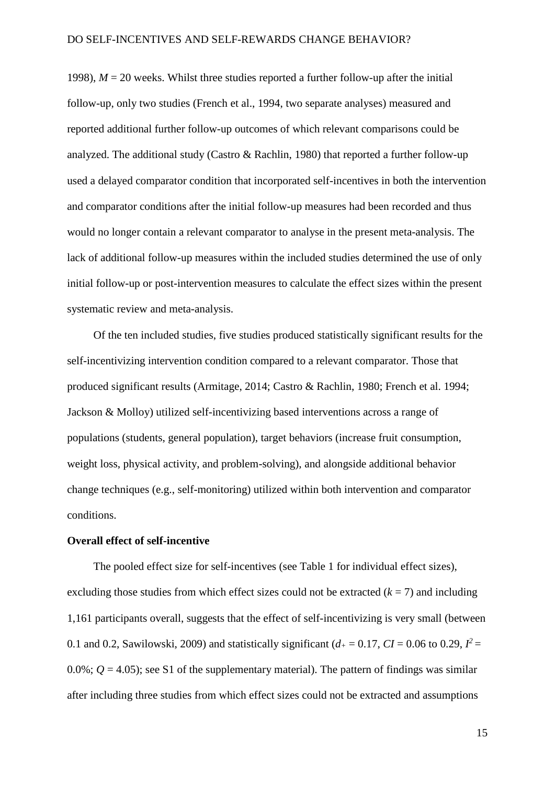1998),  $M = 20$  weeks. Whilst three studies reported a further follow-up after the initial follow-up, only two studies (French et al., 1994, two separate analyses) measured and reported additional further follow-up outcomes of which relevant comparisons could be analyzed. The additional study (Castro & Rachlin, 1980) that reported a further follow-up used a delayed comparator condition that incorporated self-incentives in both the intervention and comparator conditions after the initial follow-up measures had been recorded and thus would no longer contain a relevant comparator to analyse in the present meta-analysis. The lack of additional follow-up measures within the included studies determined the use of only initial follow-up or post-intervention measures to calculate the effect sizes within the present systematic review and meta-analysis.

Of the ten included studies, five studies produced statistically significant results for the self-incentivizing intervention condition compared to a relevant comparator. Those that produced significant results (Armitage, 2014; Castro & Rachlin, 1980; French et al. 1994; Jackson & Molloy) utilized self-incentivizing based interventions across a range of populations (students, general population), target behaviors (increase fruit consumption, weight loss, physical activity, and problem-solving), and alongside additional behavior change techniques (e.g., self-monitoring) utilized within both intervention and comparator conditions.

# **Overall effect of self-incentive**

The pooled effect size for self-incentives (see Table 1 for individual effect sizes), excluding those studies from which effect sizes could not be extracted  $(k = 7)$  and including 1,161 participants overall, suggests that the effect of self-incentivizing is very small (between 0.1 and 0.2, Sawilowski, 2009) and statistically significant ( $d_{+} = 0.17$ ,  $CI = 0.06$  to 0.29,  $I^{2} =$ 0.0%;  $Q = 4.05$ ); see S1 of the supplementary material). The pattern of findings was similar after including three studies from which effect sizes could not be extracted and assumptions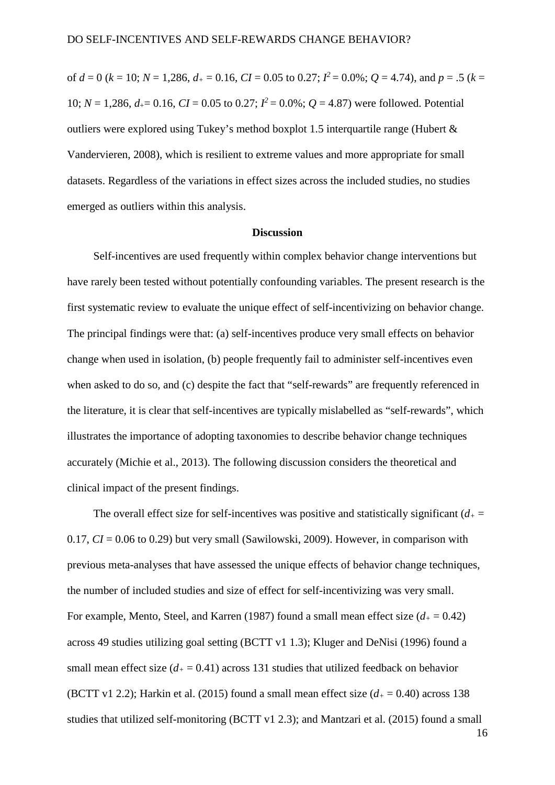of  $d = 0$  ( $k = 10$ ;  $N = 1,286$ ,  $d_{+} = 0.16$ ,  $CI = 0.05$  to 0.27;  $I^2 = 0.0\%$ ;  $Q = 4.74$ ), and  $p = .5$  ( $k =$ 10;  $N = 1,286$ ,  $d_{+} = 0.16$ ,  $CI = 0.05$  to 0.27;  $I^2 = 0.0\%$ ;  $Q = 4.87$ ) were followed. Potential outliers were explored using Tukey's method boxplot 1.5 interquartile range (Hubert & Vandervieren, 2008), which is resilient to extreme values and more appropriate for small datasets. Regardless of the variations in effect sizes across the included studies, no studies emerged as outliers within this analysis.

### **Discussion**

Self-incentives are used frequently within complex behavior change interventions but have rarely been tested without potentially confounding variables. The present research is the first systematic review to evaluate the unique effect of self-incentivizing on behavior change. The principal findings were that: (a) self-incentives produce very small effects on behavior change when used in isolation, (b) people frequently fail to administer self-incentives even when asked to do so, and (c) despite the fact that "self-rewards" are frequently referenced in the literature, it is clear that self-incentives are typically mislabelled as "self-rewards", which illustrates the importance of adopting taxonomies to describe behavior change techniques accurately (Michie et al., 2013). The following discussion considers the theoretical and clinical impact of the present findings.

The overall effect size for self-incentives was positive and statistically significant  $(d_{+} =$ 0.17, *CI* = 0.06 to 0.29) but very small (Sawilowski, 2009). However, in comparison with previous meta-analyses that have assessed the unique effects of behavior change techniques, the number of included studies and size of effect for self-incentivizing was very small. For example, Mento, Steel, and Karren (1987) found a small mean effect size  $(d_+ = 0.42)$ across 49 studies utilizing goal setting (BCTT v1 1.3); Kluger and DeNisi (1996) found a small mean effect size  $(d_+ = 0.41)$  across 131 studies that utilized feedback on behavior (BCTT v1 2.2); Harkin et al. (2015) found a small mean effect size  $(d_+ = 0.40)$  across 138 studies that utilized self-monitoring (BCTT v1 2.3); and Mantzari et al. (2015) found a small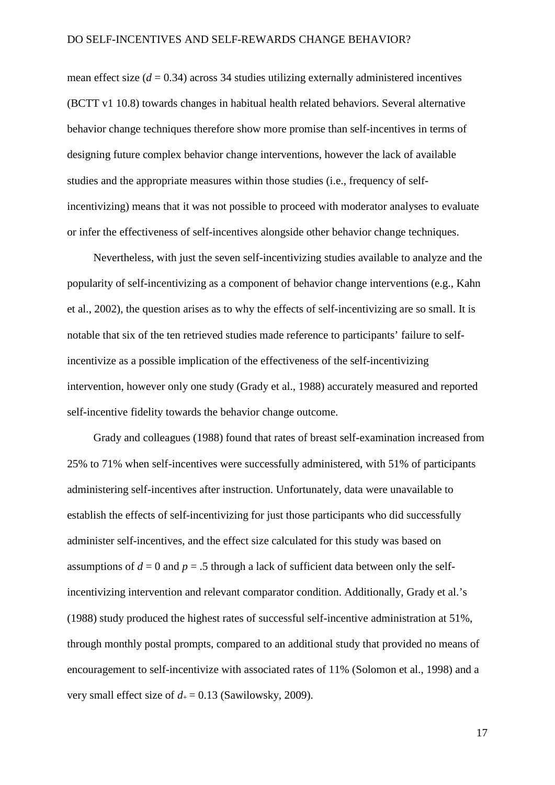mean effect size  $(d = 0.34)$  across 34 studies utilizing externally administered incentives (BCTT v1 10.8) towards changes in habitual health related behaviors. Several alternative behavior change techniques therefore show more promise than self-incentives in terms of designing future complex behavior change interventions, however the lack of available studies and the appropriate measures within those studies (i.e., frequency of selfincentivizing) means that it was not possible to proceed with moderator analyses to evaluate or infer the effectiveness of self-incentives alongside other behavior change techniques.

Nevertheless, with just the seven self-incentivizing studies available to analyze and the popularity of self-incentivizing as a component of behavior change interventions (e.g., Kahn et al., 2002), the question arises as to why the effects of self-incentivizing are so small. It is notable that six of the ten retrieved studies made reference to participants' failure to selfincentivize as a possible implication of the effectiveness of the self-incentivizing intervention, however only one study (Grady et al., 1988) accurately measured and reported self-incentive fidelity towards the behavior change outcome.

Grady and colleagues (1988) found that rates of breast self-examination increased from 25% to 71% when self-incentives were successfully administered, with 51% of participants administering self-incentives after instruction. Unfortunately, data were unavailable to establish the effects of self-incentivizing for just those participants who did successfully administer self-incentives, and the effect size calculated for this study was based on assumptions of  $d = 0$  and  $p = .5$  through a lack of sufficient data between only the selfincentivizing intervention and relevant comparator condition. Additionally, Grady et al.'s (1988) study produced the highest rates of successful self-incentive administration at 51%, through monthly postal prompts, compared to an additional study that provided no means of encouragement to self-incentivize with associated rates of 11% (Solomon et al., 1998) and a very small effect size of  $d_+ = 0.13$  (Sawilowsky, 2009).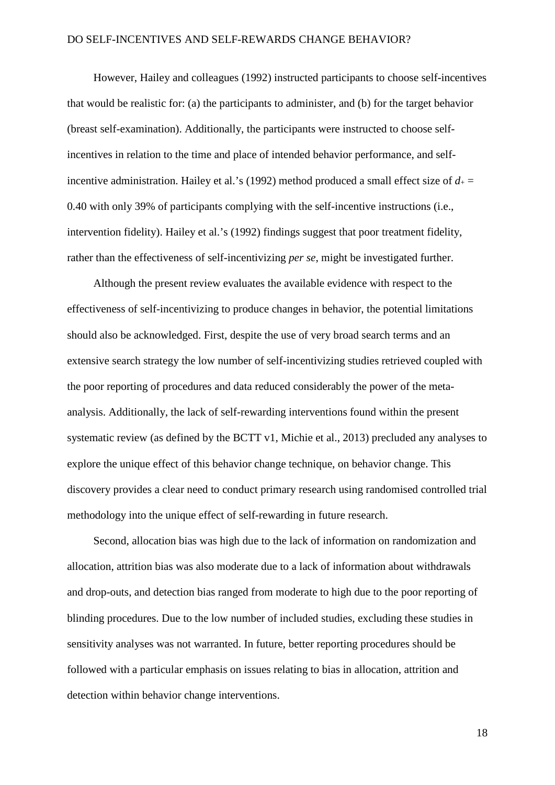However, Hailey and colleagues (1992) instructed participants to choose self-incentives that would be realistic for: (a) the participants to administer, and (b) for the target behavior (breast self-examination). Additionally, the participants were instructed to choose selfincentives in relation to the time and place of intended behavior performance, and selfincentive administration. Hailey et al.'s (1992) method produced a small effect size of  $d_+$  = 0.40 with only 39% of participants complying with the self-incentive instructions (i.e., intervention fidelity). Hailey et al.'s (1992) findings suggest that poor treatment fidelity, rather than the effectiveness of self-incentivizing *per se*, might be investigated further.

Although the present review evaluates the available evidence with respect to the effectiveness of self-incentivizing to produce changes in behavior, the potential limitations should also be acknowledged. First, despite the use of very broad search terms and an extensive search strategy the low number of self-incentivizing studies retrieved coupled with the poor reporting of procedures and data reduced considerably the power of the metaanalysis. Additionally, the lack of self-rewarding interventions found within the present systematic review (as defined by the BCTT v1, Michie et al., 2013) precluded any analyses to explore the unique effect of this behavior change technique, on behavior change. This discovery provides a clear need to conduct primary research using randomised controlled trial methodology into the unique effect of self-rewarding in future research.

Second, allocation bias was high due to the lack of information on randomization and allocation, attrition bias was also moderate due to a lack of information about withdrawals and drop-outs, and detection bias ranged from moderate to high due to the poor reporting of blinding procedures. Due to the low number of included studies, excluding these studies in sensitivity analyses was not warranted. In future, better reporting procedures should be followed with a particular emphasis on issues relating to bias in allocation, attrition and detection within behavior change interventions.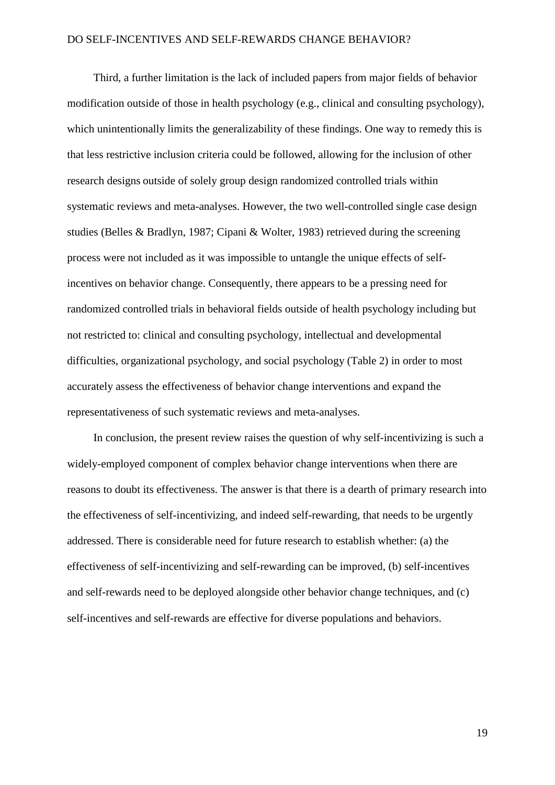Third, a further limitation is the lack of included papers from major fields of behavior modification outside of those in health psychology (e.g., clinical and consulting psychology), which unintentionally limits the generalizability of these findings. One way to remedy this is that less restrictive inclusion criteria could be followed, allowing for the inclusion of other research designs outside of solely group design randomized controlled trials within systematic reviews and meta-analyses. However, the two well-controlled single case design studies (Belles & Bradlyn, 1987; Cipani & Wolter, 1983) retrieved during the screening process were not included as it was impossible to untangle the unique effects of selfincentives on behavior change. Consequently, there appears to be a pressing need for randomized controlled trials in behavioral fields outside of health psychology including but not restricted to: clinical and consulting psychology, intellectual and developmental difficulties, organizational psychology, and social psychology (Table 2) in order to most accurately assess the effectiveness of behavior change interventions and expand the representativeness of such systematic reviews and meta-analyses.

In conclusion, the present review raises the question of why self-incentivizing is such a widely-employed component of complex behavior change interventions when there are reasons to doubt its effectiveness. The answer is that there is a dearth of primary research into the effectiveness of self-incentivizing, and indeed self-rewarding, that needs to be urgently addressed. There is considerable need for future research to establish whether: (a) the effectiveness of self-incentivizing and self-rewarding can be improved, (b) self-incentives and self-rewards need to be deployed alongside other behavior change techniques, and (c) self-incentives and self-rewards are effective for diverse populations and behaviors.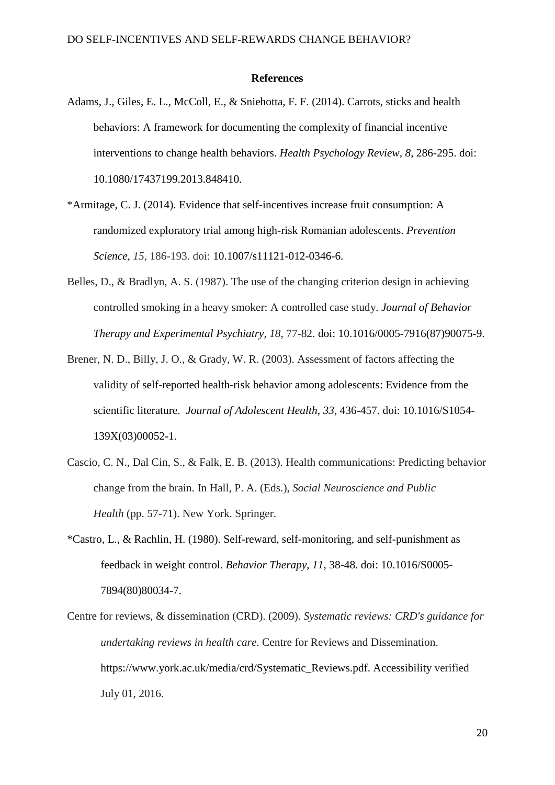#### **References**

- Adams, J., Giles, E. L., McColl, E., & Sniehotta, F. F. (2014). Carrots, sticks and health behaviors: A framework for documenting the complexity of financial incentive interventions to change health behaviors. *Health Psychology Review, 8*, 286-295. [doi:](http://dx.doi.org/10.1080/17437199.2013.848410)  [10.1080/17437199.2013.848410.](http://dx.doi.org/10.1080/17437199.2013.848410)
- \*Armitage, C. J. (2014). Evidence that self-incentives increase fruit consumption: A randomized exploratory trial among high-risk Romanian adolescents. *Prevention Science*, *15,* 186-193. doi: 10.1007/s11121-012-0346-6.
- Belles, D., & Bradlyn, A. S. (1987). The use of the changing criterion design in achieving controlled smoking in a heavy smoker: A controlled case study. *Journal of Behavior Therapy and Experimental Psychiatry*, *18*, 77-82. doi: [10.1016/0005-7916\(87\)90075-9.](http://dx.doi.org/10.1016/0005-7916(87)90075-9)
- Brener, N. D., Billy, J. O., & Grady, W. R. (2003). Assessment of factors affecting the validity of self-reported health-risk behavior among adolescents: Evidence from the scientific literature. *Journal of Adolescent Health*, *33*, 436-457. doi: [10.1016/S1054-](http://dx.doi.org/10.1016/S1054-139X(03)00052-1) [139X\(03\)00052-1.](http://dx.doi.org/10.1016/S1054-139X(03)00052-1)
- Cascio, C. N., Dal Cin, S., & Falk, E. B. (2013). Health communications: Predicting behavior change from the brain. In Hall, P. A. (Eds.), *Social Neuroscience and Public Health* (pp. 57-71). New York. Springer.
- \*Castro, L., & Rachlin, H. (1980). Self-reward, self-monitoring, and self-punishment as feedback in weight control. *Behavior Therapy*, *11,* 38-48. doi: [10.1016/S0005-](http://dx.doi.org/10.1016/S0005-7894(80)80034-7) [7894\(80\)80034-7.](http://dx.doi.org/10.1016/S0005-7894(80)80034-7)
- Centre for reviews, & dissemination (CRD). (2009). *Systematic reviews: CRD's guidance for undertaking reviews in health care*. Centre for Reviews and Dissemination. [https://www.york.ac.uk/media/crd/Systematic\\_Reviews.pdf.](https://www.york.ac.uk/media/crd/Systematic_Reviews.pdf) Accessibility verified July 01, 2016.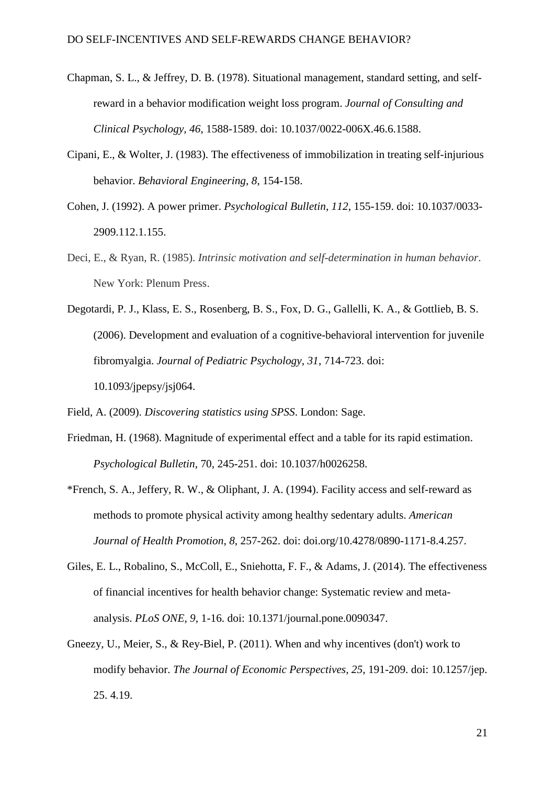- Chapman, S. L., & Jeffrey, D. B. (1978). Situational management, standard setting, and selfreward in a behavior modification weight loss program. *Journal of Consulting and Clinical Psychology, 46*, 1588-1589. doi: 10.1037/0022-006X.46.6.1588.
- Cipani, E., & Wolter, J. (1983). The effectiveness of immobilization in treating self-injurious behavior. *Behavioral Engineering, 8,* 154-158.
- Cohen, J. (1992). A power primer. *Psychological Bulletin*, *112*, 155-159. doi: [10.1037/0033-](http://psycnet.apa.org/doi/10.1037/0033-2909.112.1.155) [2909.112.1.155.](http://psycnet.apa.org/doi/10.1037/0033-2909.112.1.155)
- Deci, E., & Ryan, R. (1985). *Intrinsic motivation and self-determination in human behavior*. New York: Plenum Press.
- Degotardi, P. J., Klass, E. S., Rosenberg, B. S., Fox, D. G., Gallelli, K. A., & Gottlieb, B. S. (2006). Development and evaluation of a cognitive-behavioral intervention for juvenile fibromyalgia. *Journal of Pediatric Psychology*, *31*, 714-723. doi: 10.1093/jpepsy/jsj064.
- Field, A. (2009). *Discovering statistics using SPSS*. London: Sage.
- Friedman, H. (1968). Magnitude of experimental effect and a table for its rapid estimation. *Psychological Bulletin*, 70, 245-251. doi: 10.1037/h0026258.
- \*French, S. A., Jeffery, R. W., & Oliphant, J. A. (1994). Facility access and self-reward as methods to promote physical activity among healthy sedentary adults. *American Journal of Health Promotion*, *8*, 257-262. doi: [doi.org/10.4278/0890-1171-8.4.257.](http://dx.doi.org/10.4278/0890-1171-8.4.257)
- Giles, E. L., Robalino, S., McColl, E., Sniehotta, F. F., & Adams, J. (2014). The effectiveness of financial incentives for health behavior change: Systematic review and metaanalysis. *PLoS ONE*, *9,* 1-16. doi: 10.1371/journal.pone.0090347.
- Gneezy, U., Meier, S., & Rey-Biel, P. (2011). When and why incentives (don't) work to modify behavior. *The Journal of Economic Perspectives, 25,* 191-209. doi: 10.1257/jep. 25. 4.19.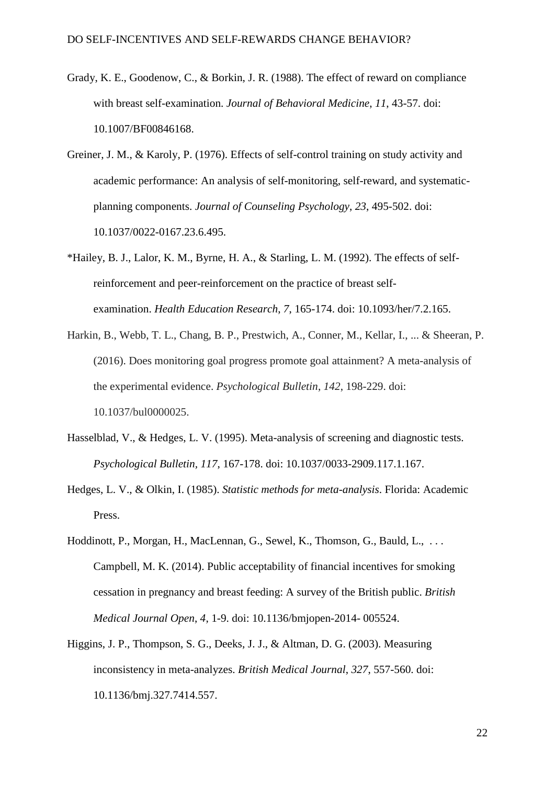- Grady, K. E., Goodenow, C., & Borkin, J. R. (1988). The effect of reward on compliance with breast self-examination. *Journal of Behavioral Medicine*, *11*, 43-57. doi: 10.1007/BF00846168.
- Greiner, J. M., & Karoly, P. (1976). Effects of self-control training on study activity and academic performance: An analysis of self-monitoring, self-reward, and systematicplanning components. *Journal of Counseling Psychology*, *23*, 495-502. doi: [10.1037/0022-0167.23.6.495.](http://psycnet.apa.org/doi/10.1037/0022-0167.23.6.495)
- \*Hailey, B. J., Lalor, K. M., Byrne, H. A., & Starling, L. M. (1992). The effects of selfreinforcement and peer-reinforcement on the practice of breast selfexamination. *Health Education Research*, *7*, 165-174. doi: 10.1093/her/7.2.165.
- Harkin, B., Webb, T. L., Chang, B. P., Prestwich, A., Conner, M., Kellar, I., ... & Sheeran, P. (2016). Does monitoring goal progress promote goal attainment? A meta-analysis of the experimental evidence. *Psychological Bulletin*, *142*, 198-229. doi: 10.1037/bul0000025.
- Hasselblad, V., & Hedges, L. V. (1995). Meta-analysis of screening and diagnostic tests. *Psychological Bulletin, 117*, 167-178. doi: 10.1037/0033-2909.117.1.167.
- Hedges, L. V., & Olkin, I. (1985). *Statistic methods for meta-analysis*. Florida: Academic Press.
- Hoddinott, P., Morgan, H., MacLennan, G., Sewel, K., Thomson, G., Bauld, L., . . . Campbell, M. K. (2014). Public acceptability of financial incentives for smoking cessation in pregnancy and breast feeding: A survey of the British public. *British Medical Journal Open*, *4*, 1-9. doi: 10.1136/bmjopen-2014- 005524.
- Higgins, J. P., Thompson, S. G., Deeks, J. J., & Altman, D. G. (2003). Measuring inconsistency in meta-analyzes. *British Medical Journal*, *327*, 557-560. doi: [10.1136/bmj.327.7414.557.](http://dx.doi.org/10.1136%2Fbmj.327.7414.557)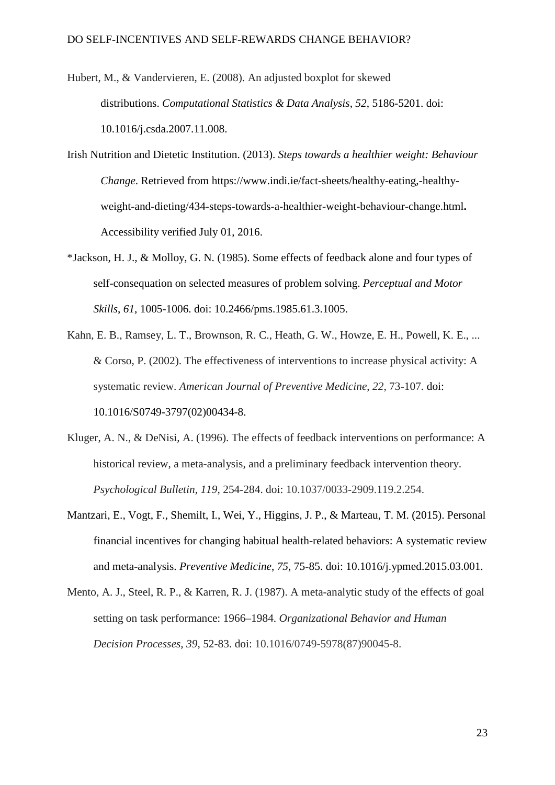- Hubert, M., & Vandervieren, E. (2008). An adjusted boxplot for skewed distributions. *Computational Statistics & Data Analysis*, *52*, 5186-5201. doi: [10.1016/j.csda.2007.11.008.](http://dx.doi.org/10.1016/j.csda.2007.11.008)
- Irish Nutrition and Dietetic Institution. (2013). *Steps towards a healthier weight: Behaviour Change*. Retrieved from [https://www.indi.ie/fact-sheets/healthy-eating,-healthy](https://www.indi.ie/fact-sheets/healthy-eating,-healthy-weight-and-dieting/434-steps-towards-a-healthier-weight-behaviour-change.html)[weight-and-dieting/434-steps-towards-a-healthier-weight-behaviour-change.html](https://www.indi.ie/fact-sheets/healthy-eating,-healthy-weight-and-dieting/434-steps-towards-a-healthier-weight-behaviour-change.html)**.**  Accessibility verified July 01, 2016.
- \*Jackson, H. J., & Molloy, G. N. (1985). Some effects of feedback alone and four types of self-consequation on selected measures of problem solving. *Perceptual and Motor Skills*, *61*, 1005-1006. doi: 10.2466/pms.1985.61.3.1005.
- Kahn, E. B., Ramsey, L. T., Brownson, R. C., Heath, G. W., Howze, E. H., Powell, K. E., ... & Corso, P. (2002). The effectiveness of interventions to increase physical activity: A systematic review. *American Journal of Preventive Medicine*, *22*, 73-107. [doi:](http://dx.doi.org/10.1016/S0749-3797(02)00434-8) [10.1016/S0749-3797\(02\)00434-8.](http://dx.doi.org/10.1016/S0749-3797(02)00434-8)
- Kluger, A. N., & DeNisi, A. (1996). The effects of feedback interventions on performance: A historical review, a meta-analysis, and a preliminary feedback intervention theory. *Psychological Bulletin, 119,* 254-284. doi: 10.1037/0033-2909.119.2.254.
- Mantzari, E., Vogt, F., Shemilt, I., Wei, Y., Higgins, J. P., & Marteau, T. M. (2015). Personal financial incentives for changing habitual health-related behaviors: A systematic review and meta-analysis. *Preventive Medicine*, *75*, 75-85. doi: [10.1016/j.ypmed.2015.03.001.](http://dx.doi.org/10.1016/j.ypmed.2015.03.001)
- Mento, A. J., Steel, R. P., & Karren, R. J. (1987). A meta-analytic study of the effects of goal setting on task performance: 1966–1984. *Organizational Behavior and Human Decision Processes*, *39*, 52-83. doi: 10.1016/0749-5978(87)90045-8.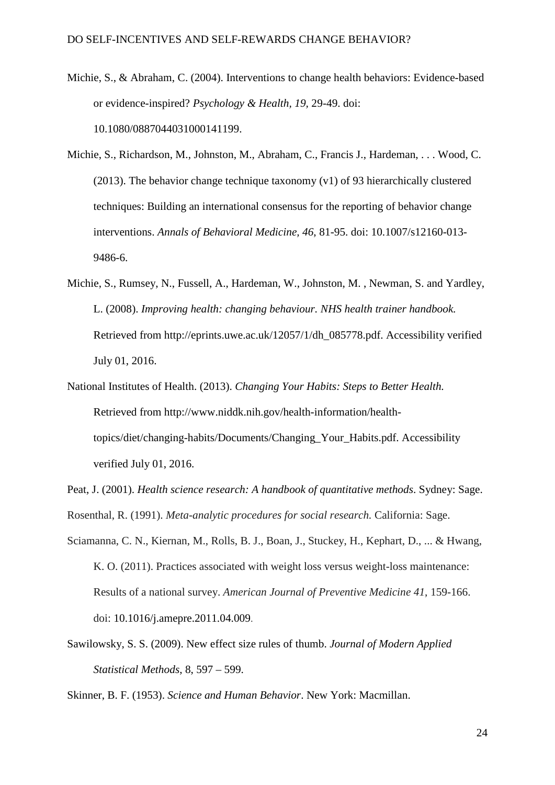- Michie, S., & Abraham, C. (2004). Interventions to change health behaviors: Evidence-based or evidence-inspired? *Psychology & Health, 19,* 29-49. doi: 10.1080/0887044031000141199.
- Michie, S., Richardson, M., Johnston, M., Abraham, C., Francis J., Hardeman, . . . Wood, C. (2013). The behavior change technique taxonomy (v1) of 93 hierarchically clustered techniques: Building an international consensus for the reporting of behavior change interventions. *Annals of Behavioral Medicine, 46*, 81-95. doi: 10.1007/s12160-013- 9486-6.
- Michie, S., Rumsey, N., Fussell, A., Hardeman, W., Johnston, M. , Newman, S. and Yardley, L. (2008). *Improving health: changing behaviour. NHS health trainer handbook.*  Retrieved from [http://eprints.uwe.ac.uk/12057/1/dh\\_085778.pdf.](http://eprints.uwe.ac.uk/12057/1/dh_085778.pdf) Accessibility verified July 01, 2016.
- National Institutes of Health. (2013). *Changing Your Habits: Steps to Better Health.*  Retrieved from [http://www.niddk.nih.gov/health-information/health](http://www.niddk.nih.gov/health-information/health-topics/diet/changing-habits/Documents/Changing_Your_Habits.pdf)[topics/diet/changing-habits/Documents/Changing\\_Your\\_Habits.pdf.](http://www.niddk.nih.gov/health-information/health-topics/diet/changing-habits/Documents/Changing_Your_Habits.pdf) Accessibility verified July 01, 2016.
- Peat, J. (2001). *Health science research: A handbook of quantitative methods*. Sydney: Sage.
- Rosenthal, R. (1991). *Meta-analytic procedures for social research.* California: Sage.
- Sciamanna, C. N., Kiernan, M., Rolls, B. J., Boan, J., Stuckey, H., Kephart, D., ... & Hwang, K. O. (2011). Practices associated with weight loss versus weight-loss maintenance: Results of a national survey. *American Journal of Preventive Medicine 41*, 159-166. doi: 10.1016/j.amepre.2011.04.009.
- Sawilowsky, S. S. (2009). New effect size rules of thumb. *Journal of Modern Applied Statistical Methods*, 8, 597 – 599.

Skinner, B. F. (1953). *Science and Human Behavior*. New York: Macmillan.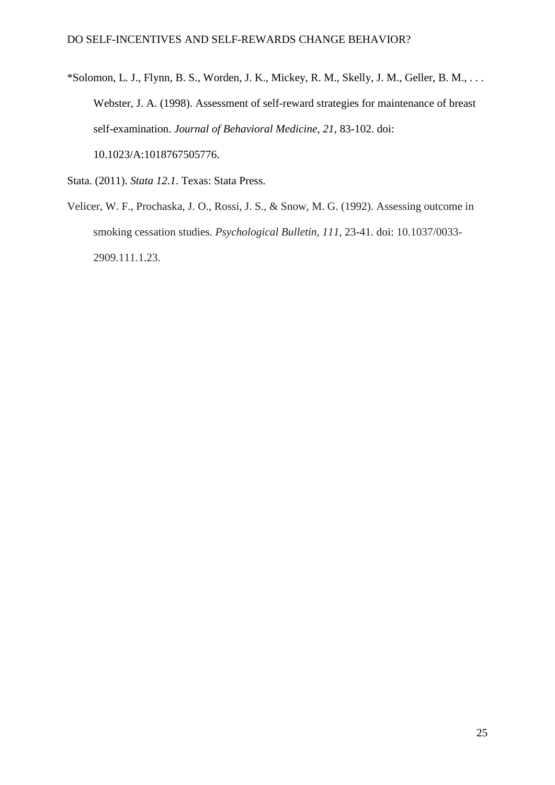\*Solomon, L. J., Flynn, B. S., Worden, J. K., Mickey, R. M., Skelly, J. M., Geller, B. M., . . . Webster, J. A. (1998). Assessment of self-reward strategies for maintenance of breast self-examination. *Journal of Behavioral Medicine*, *21*, 83-102. doi: 10.1023/A:1018767505776.

Stata. (2011). *Stata 12.1*. Texas: Stata Press.

Velicer, W. F., Prochaska, J. O., Rossi, J. S., & Snow, M. G. (1992). Assessing outcome in smoking cessation studies. *Psychological Bulletin*, *111*, 23-41. doi: 10.1037/0033- 2909.111.1.23.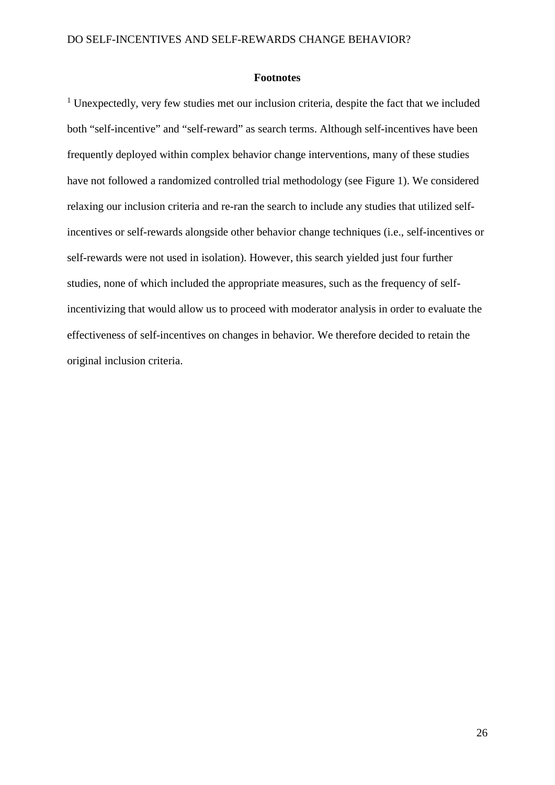#### **Footnotes**

<sup>1</sup> Unexpectedly, very few studies met our inclusion criteria, despite the fact that we included both "self-incentive" and "self-reward" as search terms. Although self-incentives have been frequently deployed within complex behavior change interventions, many of these studies have not followed a randomized controlled trial methodology (see Figure 1). We considered relaxing our inclusion criteria and re-ran the search to include any studies that utilized selfincentives or self-rewards alongside other behavior change techniques (i.e., self-incentives or self-rewards were not used in isolation). However, this search yielded just four further studies, none of which included the appropriate measures, such as the frequency of selfincentivizing that would allow us to proceed with moderator analysis in order to evaluate the effectiveness of self-incentives on changes in behavior. We therefore decided to retain the original inclusion criteria.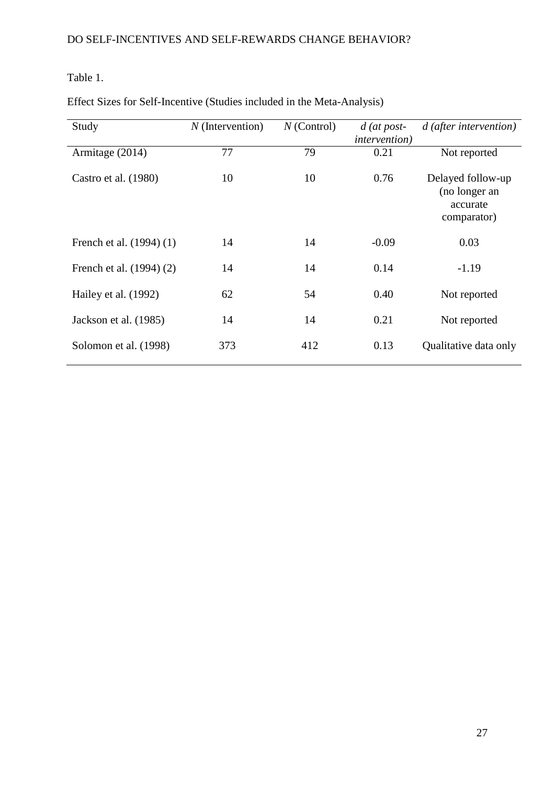# Table 1.

| Study                    | $N$ (Intervention) | $N$ (Control) | $d$ (at post-<br><i>intervention</i> ) | $d$ (after intervention)                                      |
|--------------------------|--------------------|---------------|----------------------------------------|---------------------------------------------------------------|
| Armitage (2014)          | 77                 | 79            | 0.21                                   | Not reported                                                  |
| Castro et al. (1980)     | 10                 | 10            | 0.76                                   | Delayed follow-up<br>(no longer an<br>accurate<br>comparator) |
| French et al. (1994) (1) | 14                 | 14            | $-0.09$                                | 0.03                                                          |
| French et al. (1994) (2) | 14                 | 14            | 0.14                                   | $-1.19$                                                       |
| Hailey et al. (1992)     | 62                 | 54            | 0.40                                   | Not reported                                                  |
| Jackson et al. (1985)    | 14                 | 14            | 0.21                                   | Not reported                                                  |
| Solomon et al. (1998)    | 373                | 412           | 0.13                                   | Qualitative data only                                         |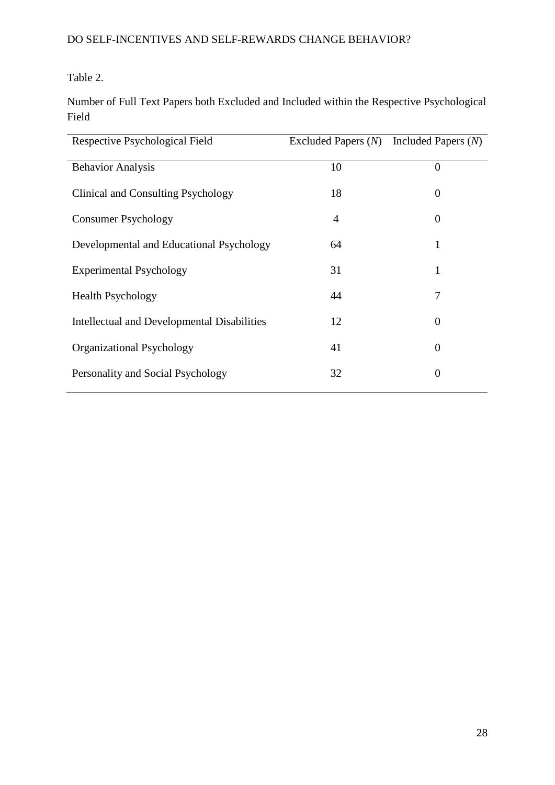Table 2.

Number of Full Text Papers both Excluded and Included within the Respective Psychological Field

| Respective Psychological Field                     | Excluded Papers (N) | Included Papers $(N)$ |
|----------------------------------------------------|---------------------|-----------------------|
| <b>Behavior Analysis</b>                           | 10                  | $\theta$              |
| Clinical and Consulting Psychology                 | 18                  | $\boldsymbol{0}$      |
| <b>Consumer Psychology</b>                         | 4                   | $\theta$              |
| Developmental and Educational Psychology           | 64                  | 1                     |
| <b>Experimental Psychology</b>                     | 31                  | 1                     |
| <b>Health Psychology</b>                           | 44                  | 7                     |
| <b>Intellectual and Developmental Disabilities</b> | 12                  | $\theta$              |
| Organizational Psychology                          | 41                  | $\Omega$              |
| Personality and Social Psychology                  | 32                  | $\theta$              |
|                                                    |                     |                       |